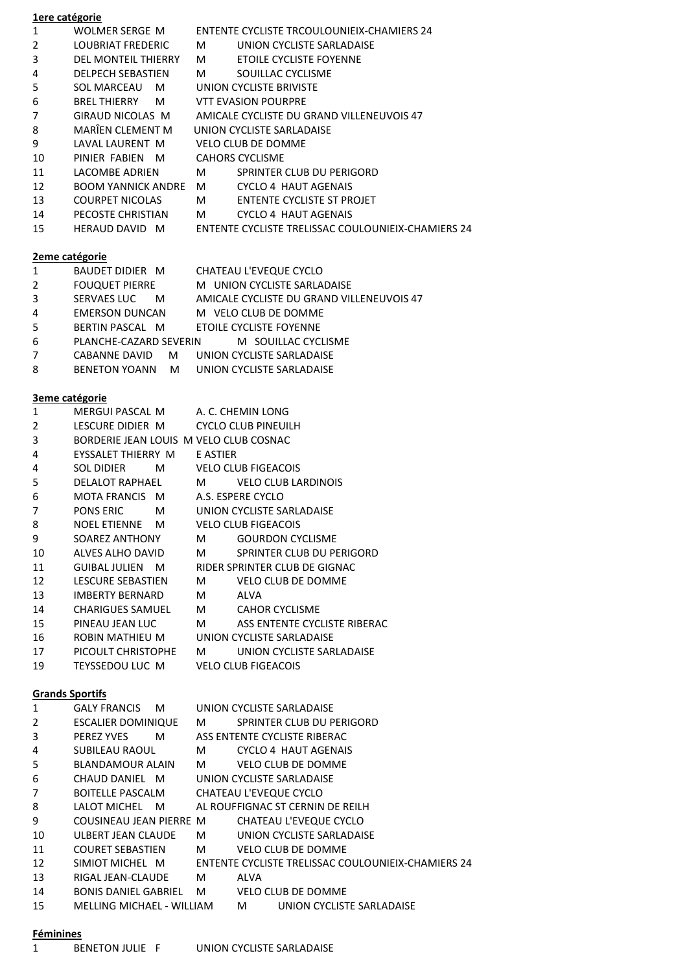## **1ere catégorie**

| 1                       | <b>WOLMER SERGE M</b>                          |                                                                             |                                                    | ENTENTE CYCLISTE TRCOULOUNIEIX-CHAMIERS 24          |  |
|-------------------------|------------------------------------------------|-----------------------------------------------------------------------------|----------------------------------------------------|-----------------------------------------------------|--|
| $\overline{2}$          | LOUBRIAT FREDERIC                              | м                                                                           |                                                    | UNION CYCLISTE SARLADAISE                           |  |
| 3                       | <b>DEL MONTEIL THIERRY</b>                     | м                                                                           |                                                    | ETOILE CYCLISTE FOYENNE                             |  |
| 4                       | <b>DELPECH SEBASTIEN</b>                       |                                                                             |                                                    | M SOUILLAC CYCLISME                                 |  |
| 5                       | SOL MARCEAU M                                  |                                                                             |                                                    | UNION CYCLISTE BRIVISTE                             |  |
| 6                       | BREL THIERRY<br>M <sub>a</sub>                 | <b>VTT EVASION POURPRE</b>                                                  |                                                    |                                                     |  |
| $\overline{7}$          | GIRAUD NICOLAS M                               |                                                                             | AMICALE CYCLISTE DU GRAND VILLENEUVOIS 47          |                                                     |  |
| 8                       | MARÎEN CLEMENT M                               | UNION CYCLISTE SARLADAISE                                                   |                                                    |                                                     |  |
| 9                       | LAVAL LAURENT M                                | <b>VELO CLUB DE DOMME</b>                                                   |                                                    |                                                     |  |
| 10                      | PINIER FABIEN M                                | <b>CAHORS CYCLISME</b>                                                      |                                                    |                                                     |  |
| 11                      | LACOMBE ADRIEN                                 | M                                                                           |                                                    | SPRINTER CLUB DU PERIGORD                           |  |
| 12                      | BOOM YANNICK ANDRE M CYCLO 4 HAUT AGENAIS      |                                                                             |                                                    |                                                     |  |
| 13                      | <b>COURPET NICOLAS</b>                         |                                                                             |                                                    | M ENTENTE CYCLISTE ST PROJET                        |  |
| 14                      | PECOSTE CHRISTIAN                              |                                                                             |                                                    | M CYCLO 4 HAUT AGENAIS                              |  |
| 15                      | HERAUD DAVID M                                 |                                                                             |                                                    | ENTENTE CYCLISTE TRELISSAC COULOUNIEIX-CHAMIERS 24  |  |
|                         |                                                |                                                                             |                                                    |                                                     |  |
| 2eme catégorie          |                                                |                                                                             |                                                    |                                                     |  |
| $\mathbf{1}$            | BAUDET DIDIER M CHATEAU L'EVEQUE CYCLO         |                                                                             |                                                    |                                                     |  |
| $\overline{2}$          | <b>FOUQUET PIERRE</b>                          |                                                                             |                                                    | M UNION CYCLISTE SARLADAISE                         |  |
| 3                       | SERVAES LUC M                                  |                                                                             |                                                    | AMICALE CYCLISTE DU GRAND VILLENEUVOIS 47           |  |
| $\overline{\mathbf{4}}$ | EMERSON DUNCAN                                 |                                                                             |                                                    | M VELO CLUB DE DOMME                                |  |
| 5                       | BERTIN PASCAL M                                |                                                                             |                                                    |                                                     |  |
| 6                       | PLANCHE-CAZARD SEVERIN                         | <b>ETOILE CYCLISTE FOYENNE</b><br>M SOUILLAC CYCLISME                       |                                                    |                                                     |  |
| $\overline{7}$          | CABANNE DAVID                                  | M UNION CYCLISTE SARLADAISE                                                 |                                                    |                                                     |  |
| 8                       | <b>BENETON YOANN</b><br>M                      |                                                                             |                                                    | UNION CYCLISTE SARLADAISE                           |  |
|                         |                                                |                                                                             |                                                    |                                                     |  |
| <b>3eme catégorie</b>   |                                                |                                                                             |                                                    |                                                     |  |
| $\mathbf{1}$            | MERGUI PASCAL M                                |                                                                             | A. C. CHEMIN LONG                                  |                                                     |  |
| $\overline{2}$          | LESCURE DIDIER M                               |                                                                             | <b>CYCLO CLUB PINEUILH</b>                         |                                                     |  |
| 3                       | BORDERIE JEAN LOUIS M VELO CLUB COSNAC         |                                                                             |                                                    |                                                     |  |
| 4                       | EYSSALET THIERRY M                             | E ASTIER                                                                    |                                                    |                                                     |  |
| 4                       | <b>SOL DIDIER</b><br>M <sub>a</sub>            |                                                                             | <b>VELO CLUB FIGEACOIS</b>                         |                                                     |  |
| 5                       | DELALOT RAPHAEL                                | M                                                                           |                                                    |                                                     |  |
| 6                       | MOTA FRANCIS M                                 | <b>VELO CLUB LARDINOIS</b><br>A.S. ESPERE CYCLO                             |                                                    |                                                     |  |
| $\overline{7}$          | M <sub>2</sub><br><b>PONS ERIC</b>             | UNION CYCLISTE SARLADAISE                                                   |                                                    |                                                     |  |
| 8                       | NOEL ETIENNE M                                 |                                                                             | <b>VELO CLUB FIGEACOIS</b>                         |                                                     |  |
| 9                       | SOAREZ ANTHONY                                 |                                                                             |                                                    | M GOURDON CYCLISME                                  |  |
| 10                      | ALVES ALHO DAVID                               | M <sub>a</sub>                                                              |                                                    | SPRINTER CLUB DU PERIGORD                           |  |
|                         |                                                |                                                                             |                                                    |                                                     |  |
| 11                      | GUIBAL JULIEN M<br><b>LESCURE SEBASTIEN</b>    |                                                                             |                                                    | RIDER SPRINTER CLUB DE GIGNAC<br>VELO CLUB DE DOMME |  |
| 12                      |                                                | M<br>M ALVA                                                                 |                                                    |                                                     |  |
| 13                      | IMBERTY BERNARD<br><b>CHARIGUES SAMUEL</b>     |                                                                             |                                                    | M CAHOR CYCLISME                                    |  |
| 14                      |                                                |                                                                             |                                                    | M ASS ENTENTE CYCLISTE RIBERAC                      |  |
| 15                      | PINEAU JEAN LUC                                |                                                                             |                                                    |                                                     |  |
| 16                      | ROBIN MATHIEU M                                |                                                                             |                                                    | UNION CYCLISTE SARLADAISE                           |  |
| 17                      | PICOULT CHRISTOPHE                             |                                                                             |                                                    | M UNION CYCLISTE SARLADAISE                         |  |
| 19                      | TEYSSEDOU LUC M                                |                                                                             | <b>VELO CLUB FIGEACOIS</b>                         |                                                     |  |
|                         |                                                |                                                                             |                                                    |                                                     |  |
| $\mathbf{1}$            | <b>Grands Sportifs</b><br>GALY FRANCIS M       |                                                                             |                                                    | UNION CYCLISTE SARLADAISE                           |  |
| $\overline{2}$          |                                                | M <sub>a</sub>                                                              |                                                    | SPRINTER CLUB DU PERIGORD                           |  |
| 3                       | ESCALIER DOMINIQUE                             |                                                                             |                                                    |                                                     |  |
|                         | PEREZ YVES M                                   |                                                                             |                                                    | ASS ENTENTE CYCLISTE RIBERAC                        |  |
| 4                       | SUBILEAU RAOUL                                 | M                                                                           |                                                    | CYCLO 4 HAUT AGENAIS                                |  |
| 5<br>6                  | BLANDAMOUR ALAIN                               |                                                                             |                                                    | M VELO CLUB DE DOMME                                |  |
|                         | CHAUD DANIEL M                                 | UNION CYCLISTE SARLADAISE                                                   |                                                    |                                                     |  |
| $\overline{7}$          |                                                | BOITELLE PASCALM CHATEAU L'EVEQUE CYCLO<br>AL ROUFFIGNAC ST CERNIN DE REILH |                                                    |                                                     |  |
| 8                       | LALOT MICHEL M                                 |                                                                             |                                                    |                                                     |  |
| 9                       | COUSINEAU JEAN PIERRE M CHATEAU L'EVEQUE CYCLO |                                                                             |                                                    |                                                     |  |
| 10                      | ULBERT JEAN CLAUDE                             |                                                                             |                                                    | M UNION CYCLISTE SARLADAISE                         |  |
| 11                      | <b>COURET SEBASTIEN</b>                        |                                                                             |                                                    | M VELO CLUB DE DOMME                                |  |
| 12                      | SIMIOT MICHEL M                                |                                                                             | ENTENTE CYCLISTE TRELISSAC COULOUNIEIX-CHAMIERS 24 |                                                     |  |
| 13                      | RIGAL JEAN-CLAUDE                              | M <sub>a</sub>                                                              | ALVA                                               |                                                     |  |
| 14                      | BONIS DANIEL GABRIEL                           |                                                                             |                                                    | M VELO CLUB DE DOMME                                |  |
| 15                      | MELLING MICHAEL - WILLIAM                      |                                                                             | M <sub>a</sub>                                     | UNION CYCLISTE SARLADAISE                           |  |

## **Féminines**

1 BENETON JULIE F UNION CYCLISTE SARLADAISE